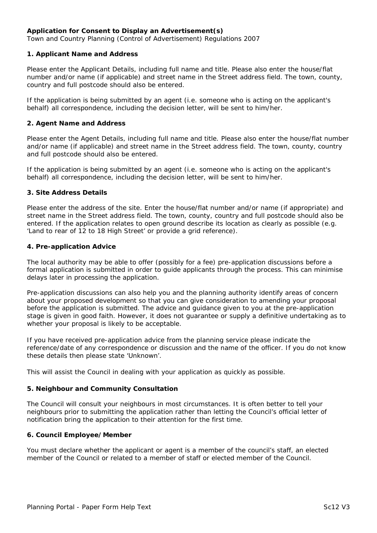# **Application for Consent to Display an Advertisement(s)**

*Town and Country Planning (Control of Advertisement) Regulations 2007* 

#### **1. Applicant Name and Address**

Please enter the Applicant Details, including full name and title. Please also enter the house/flat number and/or name (if applicable) and street name in the Street address field. The town, county, country and full postcode should also be entered.

If the application is being submitted by an agent (i.e. someone who is acting on the applicant's behalf) all correspondence, including the decision letter, will be sent to him/her.

#### **2. Agent Name and Address**

Please enter the Agent Details, including full name and title. Please also enter the house/flat number and/or name (if applicable) and street name in the Street address field. The town, county, country and full postcode should also be entered.

If the application is being submitted by an agent (i.e. someone who is acting on the applicant's behalf) all correspondence, including the decision letter, will be sent to him/her.

#### **3. Site Address Details**

Please enter the address of the site. Enter the house/flat number and/or name (if appropriate) and street name in the Street address field. The town, county, country and full postcode should also be entered. If the application relates to open ground describe its location as clearly as possible (e.g. *'Land to rear of 12 to 18 High Street'* or provide a grid reference).

#### **4. Pre-application Advice**

The local authority may be able to offer (possibly for a fee) pre-application discussions before a formal application is submitted in order to guide applicants through the process. This can minimise delays later in processing the application.

Pre-application discussions can also help you and the planning authority identify areas of concern about your proposed development so that you can give consideration to amending your proposal before the application is submitted. The advice and guidance given to you at the pre-application stage is given in good faith. However, it does not guarantee or supply a definitive undertaking as to whether your proposal is likely to be acceptable.

If you have received pre-application advice from the planning service please indicate the reference/date of any correspondence or discussion and the name of the officer. If you do not know these details then please state '*Unknown*'.

This will assist the Council in dealing with your application as quickly as possible.

## **5. Neighbour and Community Consultation**

The Council will consult your neighbours in most circumstances. It is often better to tell your neighbours prior to submitting the application rather than letting the Council's official letter of notification bring the application to their attention for the first time.

## **6. Council Employee/Member**

You must declare whether the applicant or agent is a member of the council's staff, an elected member of the Council or related to a member of staff or elected member of the Council.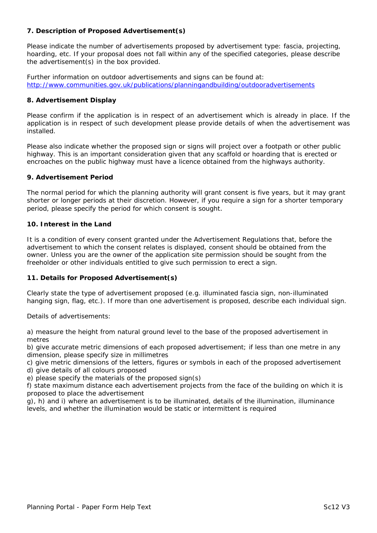# **7. Description of Proposed Advertisement(s)**

Please indicate the number of advertisements proposed by advertisement type: fascia, projecting, hoarding, etc. If your proposal does not fall within any of the specified categories, please describe the advertisement(s) in the box provided.

Further information on outdoor advertisements and signs can be found at: <http://www.communities.gov.uk/publications/planningandbuilding/outdooradvertisements>

# **8. Advertisement Display**

Please confirm if the application is in respect of an advertisement which is already in place. If the application is in respect of such development please provide details of when the advertisement was installed.

Please also indicate whether the proposed sign or signs will project over a footpath or other public highway. This is an important consideration given that any scaffold or hoarding that is erected or encroaches on the public highway must have a licence obtained from the highways authority.

## **9. Advertisement Period**

The normal period for which the planning authority will grant consent is five years, but it may grant shorter or longer periods at their discretion. However, if you require a sign for a shorter temporary period, please specify the period for which consent is sought.

# **10. Interest in the Land**

It is a condition of every consent granted under the Advertisement Regulations that, before the advertisement to which the consent relates is displayed, consent should be obtained from the owner. Unless you are the owner of the application site permission should be sought from the freeholder or other individuals entitled to give such permission to erect a sign.

## **11. Details for Proposed Advertisement(s)**

Clearly state the type of advertisement proposed (e.g. illuminated fascia sign, non-illuminated hanging sign, flag, etc.). If more than one advertisement is proposed, describe each individual sign.

## *Details of advertisements:*

a) measure the height from natural ground level to the base of the proposed advertisement in metres

b) give accurate metric dimensions of each proposed advertisement; if less than one metre in any dimension, please specify size in millimetres

c) give metric dimensions of the letters, figures or symbols in each of the proposed advertisement

d) give details of all colours proposed

e) please specify the materials of the proposed sign(s)

f) state maximum distance each advertisement projects from the face of the building on which it is proposed to place the advertisement

g), h) and i) where an advertisement is to be illuminated, details of the illumination, illuminance levels, and whether the illumination would be static or intermittent is required